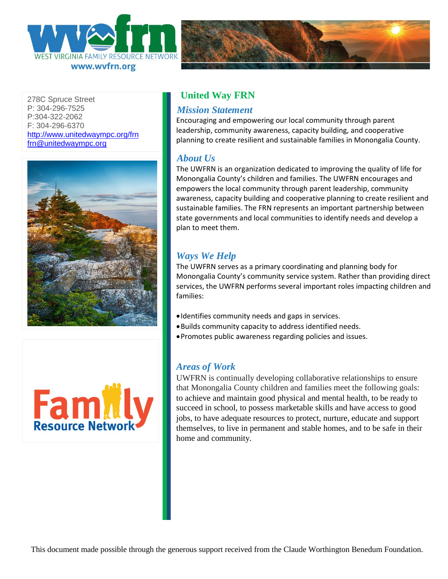



278C Spruce Street P: 304-296-7525 P:304-322-2062 F: 304-296-6370 <http://www.unitedwaympc.org/frn> [frn@unitedwaympc.org](mailto:frn@unitedwaympc.org)





# **United Way FRN**

#### *Mission Statement*

Encouraging and empowering our local community through parent leadership, community awareness, capacity building, and cooperative planning to create resilient and sustainable families in Monongalia County.

#### *About Us*

The UWFRN is an organization dedicated to improving the quality of life for Monongalia County's children and families. The UWFRN encourages and empowers the local community through parent leadership, community awareness, capacity building and cooperative planning to create resilient and sustainable families. The FRN represents an important partnership between state governments and local communities to identify needs and develop a plan to meet them.

# *Ways We Help*

The UWFRN serves as a primary coordinating and planning body for Monongalia County's community service system. Rather than providing direct services, the UWFRN performs several important roles impacting children and families:

- •Identifies community needs and gaps in services.
- •Builds community capacity to address identified needs.
- •Promotes public awareness regarding policies and issues.

### *Areas of Work*

UWFRN is continually developing collaborative relationships to ensure that Monongalia County children and families meet the following goals: to achieve and maintain good physical and mental health, to be ready to succeed in school, to possess marketable skills and have access to good jobs, to have adequate resources to protect, nurture, educate and support themselves, to live in permanent and stable homes, and to be safe in their home and community.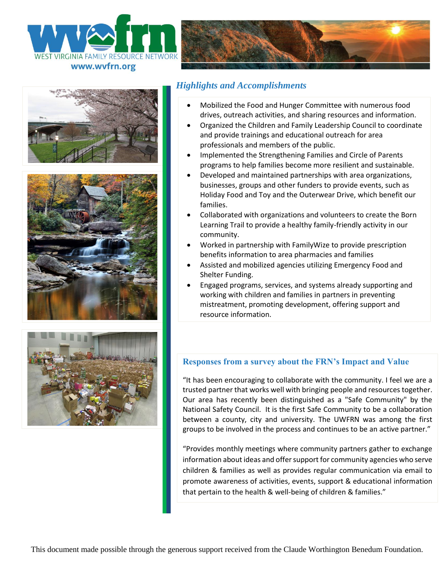







## *Highlights and Accomplishments*

- Mobilized the Food and Hunger Committee with numerous food drives, outreach activities, and sharing resources and information.
- Organized the Children and Family Leadership Council to coordinate and provide trainings and educational outreach for area professionals and members of the public.
- Implemented the Strengthening Families and Circle of Parents programs to help families become more resilient and sustainable.
- Developed and maintained partnerships with area organizations, businesses, groups and other funders to provide events, such as Holiday Food and Toy and the Outerwear Drive, which benefit our families.
- Collaborated with organizations and volunteers to create the Born Learning Trail to provide a healthy family-friendly activity in our community.
- Worked in partnership with FamilyWize to provide prescription benefits information to area pharmacies and families
- Assisted and mobilized agencies utilizing Emergency Food and Shelter Funding.
- Engaged programs, services, and systems already supporting and working with children and families in partners in preventing mistreatment, promoting development, offering support and resource information.



#### **Responses from a survey about the FRN's Impact and Value**

"It has been encouraging to collaborate with the community. I feel we are a trusted partner that works well with bringing people and resources together. Our area has recently been distinguished as a "Safe Community" by the National Safety Council. It is the first Safe Community to be a collaboration between a county, city and university. The UWFRN was among the first groups to be involved in the process and continues to be an active partner."

"Provides monthly meetings where community partners gather to exchange information about ideas and offer support for community agencies who serve children & families as well as provides regular communication via email to promote awareness of activities, events, support & educational information that pertain to the health & well-being of children & families."